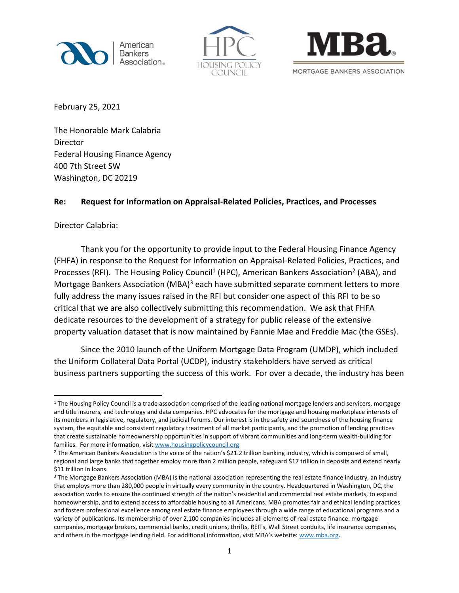





February 25, 2021

The Honorable Mark Calabria Director Federal Housing Finance Agency 400 7th Street SW Washington, DC 20219

## **Re: Request for Information on Appraisal-Related Policies, Practices, and Processes**

Director Calabria:

Thank you for the opportunity to provide input to the Federal Housing Finance Agency (FHFA) in response to the Request for Information on Appraisal-Related Policies, Practices, and Processes (RFI). The Housing Policy Council<sup>1</sup> (HPC), American Bankers Association<sup>2</sup> (ABA), and Mortgage Bankers Association (MBA)<sup>3</sup> each have submitted separate comment letters to more fully address the many issues raised in the RFI but consider one aspect of this RFI to be so critical that we are also collectively submitting this recommendation. We ask that FHFA dedicate resources to the development of a strategy for public release of the extensive property valuation dataset that is now maintained by Fannie Mae and Freddie Mac (the GSEs).

Since the 2010 launch of the Uniform Mortgage Data Program (UMDP), which included the Uniform Collateral Data Portal (UCDP), industry stakeholders have served as critical business partners supporting the success of this work. For over a decade, the industry has been

 $1$  The Housing Policy Council is a trade association comprised of the leading national mortgage lenders and servicers, mortgage and title insurers, and technology and data companies. HPC advocates for the mortgage and housing marketplace interests of its members in legislative, regulatory, and judicial forums. Our interest is in the safety and soundness of the housing finance system, the equitable and consistent regulatory treatment of all market participants, and the promotion of lending practices that create sustainable homeownership opportunities in support of vibrant communities and long-term wealth-building for families. For more information, visit [www.housingpolicycouncil.org](http://www.housingpolicycouncil.org/)

 $2$  The American Bankers Association is the voice of the nation's \$21.2 trillion banking industry, which is composed of small, regional and large banks that together employ more than 2 million people, safeguard \$17 trillion in deposits and extend nearly \$11 trillion in loans.

<sup>&</sup>lt;sup>3</sup> The Mortgage Bankers Association (MBA) is the national association representing the real estate finance industry, an industry that employs more than 280,000 people in virtually every community in the country. Headquartered in Washington, DC, the association works to ensure the continued strength of the nation's residential and commercial real estate markets, to expand homeownership, and to extend access to affordable housing to all Americans. MBA promotes fair and ethical lending practices and fosters professional excellence among real estate finance employees through a wide range of educational programs and a variety of publications. Its membership of over 2,100 companies includes all elements of real estate finance: mortgage companies, mortgage brokers, commercial banks, credit unions, thrifts, REITs, Wall Street conduits, life insurance companies, and others in the mortgage lending field. For additional information, visit MBA's website: [www.mba.org.](http://www.mba.org/)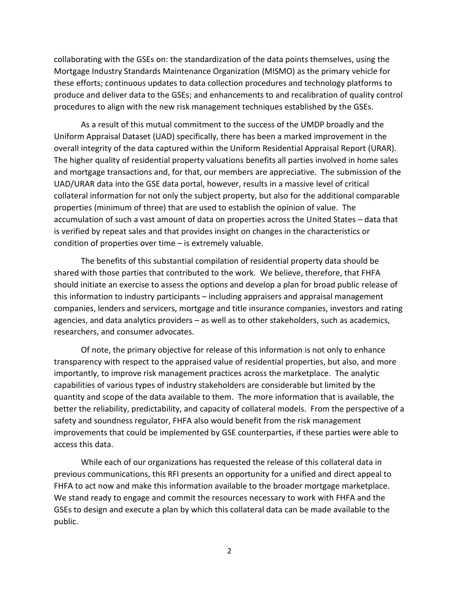collaborating with the GSEs on: the standardization of the data points themselves, using the Mortgage Industry Standards Maintenance Organization (MISMO) as the primary vehicle for these efforts; continuous updates to data collection procedures and technology platforms to produce and deliver data to the GSEs; and enhancements to and recalibration of quality control procedures to align with the new risk management techniques established by the GSEs.

As a result of this mutual commitment to the success of the UMDP broadly and the Uniform Appraisal Dataset (UAD) specifically, there has been a marked improvement in the overall integrity of the data captured within the Uniform Residential Appraisal Report (URAR). The higher quality of residential property valuations benefits all parties involved in home sales and mortgage transactions and, for that, our members are appreciative. The submission of the UAD/URAR data into the GSE data portal, however, results in a massive level of critical collateral information for not only the subject property, but also for the additional comparable properties (minimum of three) that are used to establish the opinion of value. The accumulation of such a vast amount of data on properties across the United States – data that is verified by repeat sales and that provides insight on changes in the characteristics or condition of properties over time – is extremely valuable.

The benefits of this substantial compilation of residential property data should be shared with those parties that contributed to the work. We believe, therefore, that FHFA should initiate an exercise to assess the options and develop a plan for broad public release of this information to industry participants – including appraisers and appraisal management companies, lenders and servicers, mortgage and title insurance companies, investors and rating agencies, and data analytics providers – as well as to other stakeholders, such as academics, researchers, and consumer advocates.

Of note, the primary objective for release of this information is not only to enhance transparency with respect to the appraised value of residential properties, but also, and more importantly, to improve risk management practices across the marketplace. The analytic capabilities of various types of industry stakeholders are considerable but limited by the quantity and scope of the data available to them. The more information that is available, the better the reliability, predictability, and capacity of collateral models. From the perspective of a safety and soundness regulator, FHFA also would benefit from the risk management improvements that could be implemented by GSE counterparties, if these parties were able to access this data.

While each of our organizations has requested the release of this collateral data in previous communications, this RFI presents an opportunity for a unified and direct appeal to FHFA to act now and make this information available to the broader mortgage marketplace. We stand ready to engage and commit the resources necessary to work with FHFA and the GSEs to design and execute a plan by which this collateral data can be made available to the public.